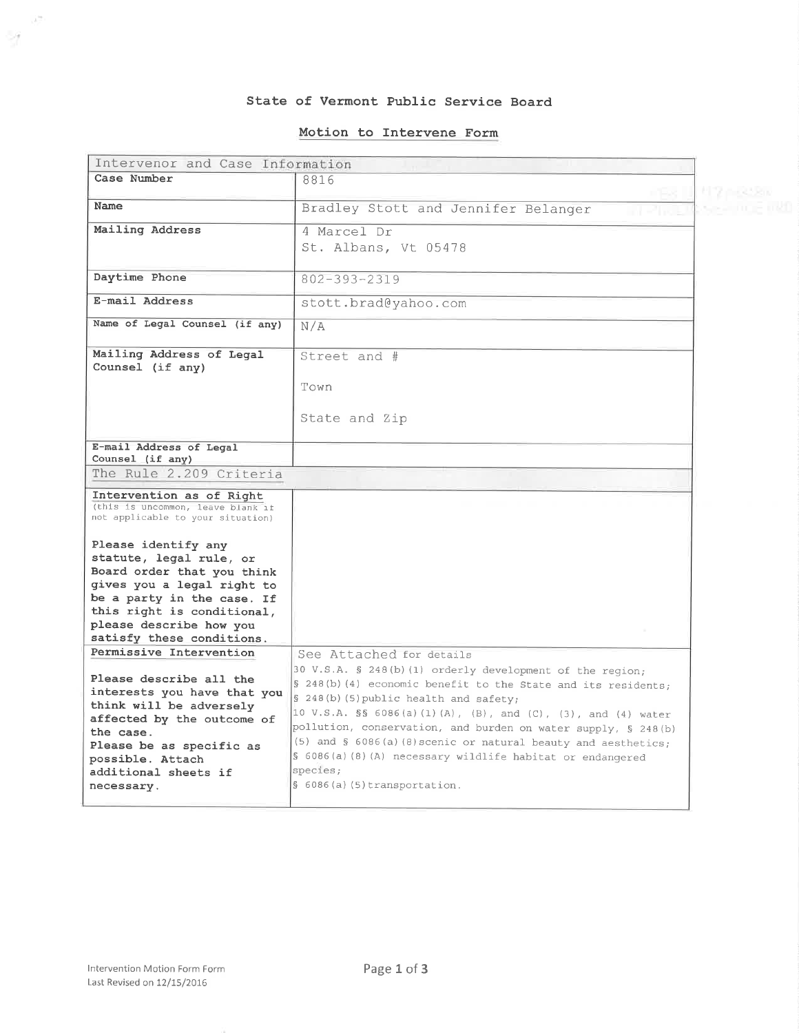#### State of Vermont Public Service Board

#### Motion to Interwene Form

| Intervenor and Case Information                                                                                                                                                                                                |                                                                                                                                                                                                                                                                                                                                                                                                                                                                             |                    |
|--------------------------------------------------------------------------------------------------------------------------------------------------------------------------------------------------------------------------------|-----------------------------------------------------------------------------------------------------------------------------------------------------------------------------------------------------------------------------------------------------------------------------------------------------------------------------------------------------------------------------------------------------------------------------------------------------------------------------|--------------------|
| Case Number                                                                                                                                                                                                                    | 8816                                                                                                                                                                                                                                                                                                                                                                                                                                                                        |                    |
| Name                                                                                                                                                                                                                           |                                                                                                                                                                                                                                                                                                                                                                                                                                                                             | <b>#17 mission</b> |
|                                                                                                                                                                                                                                | Bradley Stott and Jennifer Belanger<br>an an ao                                                                                                                                                                                                                                                                                                                                                                                                                             |                    |
| Mailing Address                                                                                                                                                                                                                | 4 Marcel Dr                                                                                                                                                                                                                                                                                                                                                                                                                                                                 |                    |
|                                                                                                                                                                                                                                | St. Albans, Vt 05478                                                                                                                                                                                                                                                                                                                                                                                                                                                        |                    |
|                                                                                                                                                                                                                                |                                                                                                                                                                                                                                                                                                                                                                                                                                                                             |                    |
| Daytime Phone                                                                                                                                                                                                                  | $802 - 393 - 2319$                                                                                                                                                                                                                                                                                                                                                                                                                                                          |                    |
| E-mail Address                                                                                                                                                                                                                 | stott.brad@yahoo.com                                                                                                                                                                                                                                                                                                                                                                                                                                                        |                    |
| Name of Legal Counsel (if any)                                                                                                                                                                                                 | N/A                                                                                                                                                                                                                                                                                                                                                                                                                                                                         |                    |
| Mailing Address of Legal<br>Counsel (if any)                                                                                                                                                                                   | Street and #                                                                                                                                                                                                                                                                                                                                                                                                                                                                |                    |
|                                                                                                                                                                                                                                | Town                                                                                                                                                                                                                                                                                                                                                                                                                                                                        |                    |
|                                                                                                                                                                                                                                | State and Zip                                                                                                                                                                                                                                                                                                                                                                                                                                                               |                    |
| E-mail Address of Legal                                                                                                                                                                                                        |                                                                                                                                                                                                                                                                                                                                                                                                                                                                             |                    |
| Counsel (if any)                                                                                                                                                                                                               |                                                                                                                                                                                                                                                                                                                                                                                                                                                                             |                    |
| The Rule 2.209 Criteria                                                                                                                                                                                                        |                                                                                                                                                                                                                                                                                                                                                                                                                                                                             |                    |
| Intervention as of Right<br>(this is uncommon, leave blank if<br>not applicable to your situation)                                                                                                                             |                                                                                                                                                                                                                                                                                                                                                                                                                                                                             |                    |
| Please identify any<br>statute, legal rule, or<br>Board order that you think<br>gives you a legal right to<br>be a party in the case. If<br>this right is conditional,<br>please describe how you<br>satisfy these conditions. |                                                                                                                                                                                                                                                                                                                                                                                                                                                                             |                    |
| Permissive Intervention                                                                                                                                                                                                        | See Attached for details                                                                                                                                                                                                                                                                                                                                                                                                                                                    |                    |
| Please describe all the<br>interests you have that you<br>think will be adversely<br>affected by the outcome of<br>the case.<br>Please be as specific as<br>possible. Attach<br>additional sheets if<br>necessary.             | 30 V.S.A. § 248(b)(1) orderly development of the region;<br>§ 248(b) (4) economic benefit to the State and its residents;<br>§ 248(b)(5) public health and safety;<br>10 V.S.A. §§ 6086(a)(1)(A), (B), and (C), (3), and (4) water<br>pollution, conservation, and burden on water supply, § 248(b)<br>(5) and $\S$ 6086(a)(8) scenic or natural beauty and aesthetics;<br>§ 6086(a)(8)(A) necessary wildlife habitat or endangered<br>species;<br>§ 6086(a) (5) transform. |                    |
|                                                                                                                                                                                                                                |                                                                                                                                                                                                                                                                                                                                                                                                                                                                             |                    |

 $\lambda^{\frac{2m}{2}}$ 

-1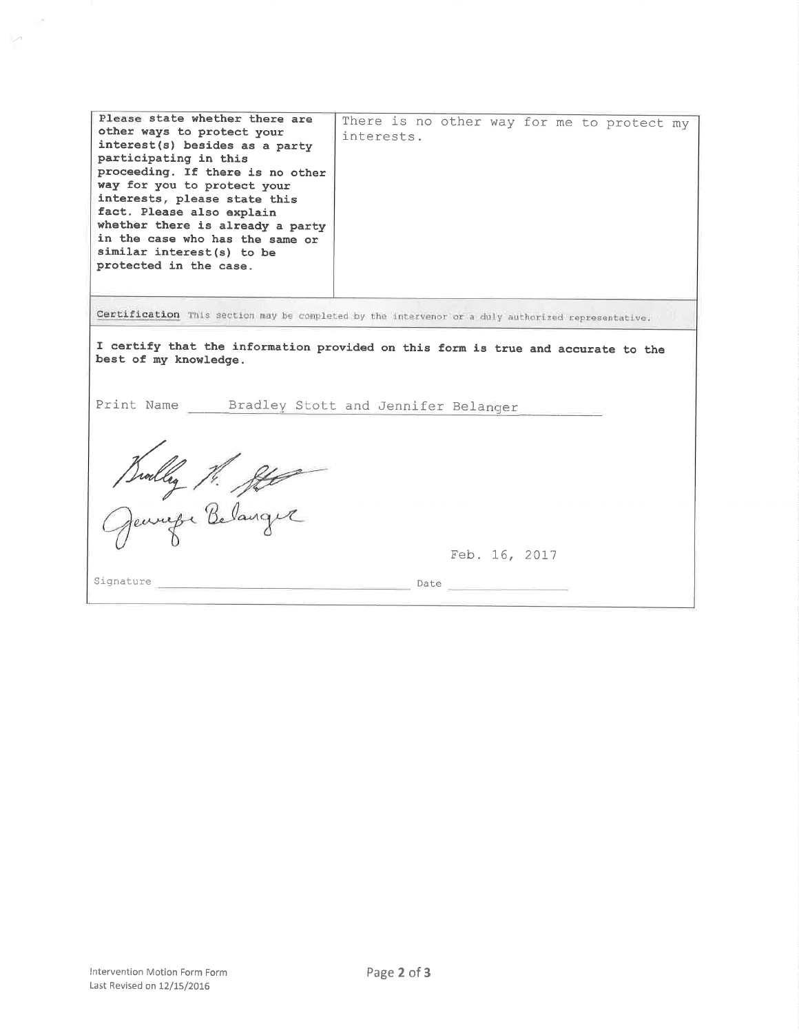| Please state whether there are<br>other ways to protect your<br>interest(s) besides as a party<br>participating in this<br>proceeding. If there is no other<br>way for you to protect your<br>interests, please state this<br>fact. Please also explain | There is no other way for me to protect my<br>interests. |  |  |
|---------------------------------------------------------------------------------------------------------------------------------------------------------------------------------------------------------------------------------------------------------|----------------------------------------------------------|--|--|
| whether there is already a party<br>in the case who has the same or<br>similar interest(s) to be<br>protected in the case.                                                                                                                              |                                                          |  |  |
| Certification This section may be completed by the intervenor or a duly authorized representative.                                                                                                                                                      |                                                          |  |  |
| I certify that the information provided on this form is true and accurate to the<br>best of my knowledge.                                                                                                                                               |                                                          |  |  |
| Print Name Bradley Stott and Jennifer Belanger                                                                                                                                                                                                          |                                                          |  |  |
| Builley M. He                                                                                                                                                                                                                                           |                                                          |  |  |
|                                                                                                                                                                                                                                                         |                                                          |  |  |
|                                                                                                                                                                                                                                                         | Feb. 16, 2017                                            |  |  |
| Signature                                                                                                                                                                                                                                               | Date                                                     |  |  |

 $\overline{\phantom{a}}$ 

 $\mathcal{A}$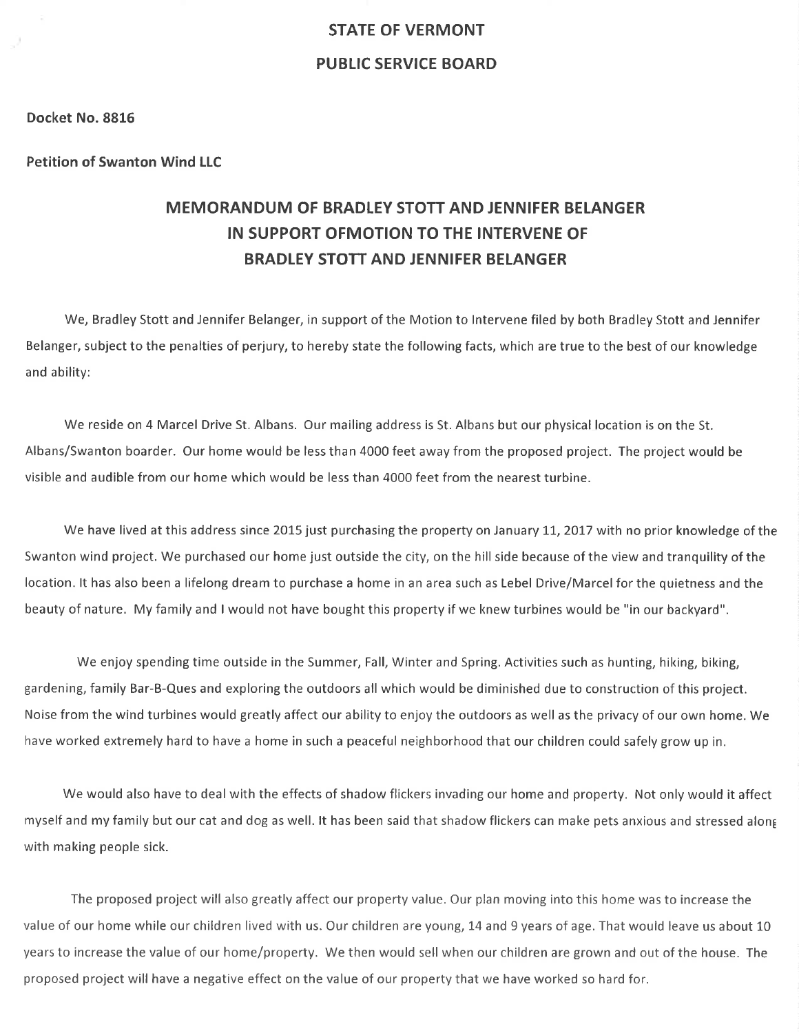# STATE OF VERMONT PUBLIC SERVICE BOARD

#### Docket No. 8816

#### Petition of Swanton Wind LLC

# MEMORANDUM OF BRADLEY STOTT AND JENNIFER BELANGER IN SUPPORT OFMOTION TO THE INTERVENE OF BRADLEY STOTT AND JENNIFER BELANGER

We, Bradley Stott and Jennifer Belanger, in support of the Motion to lntervene filed by both Bradley Stott and Jennifer Belanger, subject to the penalties of perjury, to hereby state the following facts, which are true to the best of our knowledge and ability:

We reside on 4 Marcel Drive St. Albans. Our mailing address is St. Albans but our physical location is on the St. Albans/Swanton boarder. Our home would be less than 4000 feet away from the proposed project. The project would be visible and audible from our home which would be less than 4000 feet from the nearest turbine.

We have lived at this address since 2015 just purchasing the property on January 11, 2017 with no prior knowledge of the Swanton wind project. We purchased our home just outside the city, on the hill side because of the view and tranquility of the location. lt has also been a lifelong dream to purchase a home in an area such as Lebel Drive/Marcelfor the quietness and the beauty of nature. My family and I would not have bought this property if we knew turbines would be "in our backyard".

We enjoy spending time outside in the Summer, Fall, Winter and Spring. Activities such as hunting, hiking, biking, gardening, family Bar-B-Ques and exploring the outdoors allwhich would be diminished due to construction of this project. Noise from the wind turbines would greatly affect our ability to enjoy the outdoors as well as the privacy of our own home. We have worked extremely hard to have a home in such a peaceful neighborhood that our children could safely grow up in.

We would also have to deal with the effects of shadow flickers invading our home and property. Not only would it affect myself and my family but our cat and dog as well. lt has been said that shadow flickers can make pets anxious and stressed alon6 with making people sick.

The proposed project will also greatly affect our property value. Our plan moving into this home was to increase the value of our home while our children lived with us. Our children are young, 14 and 9 years of age. That would leave us about 10 years to increase the value of our home/property. We then would sell when our children are grown and out of the house. The proposed project will have a negative effect on the value of our property that we have worked so hard for.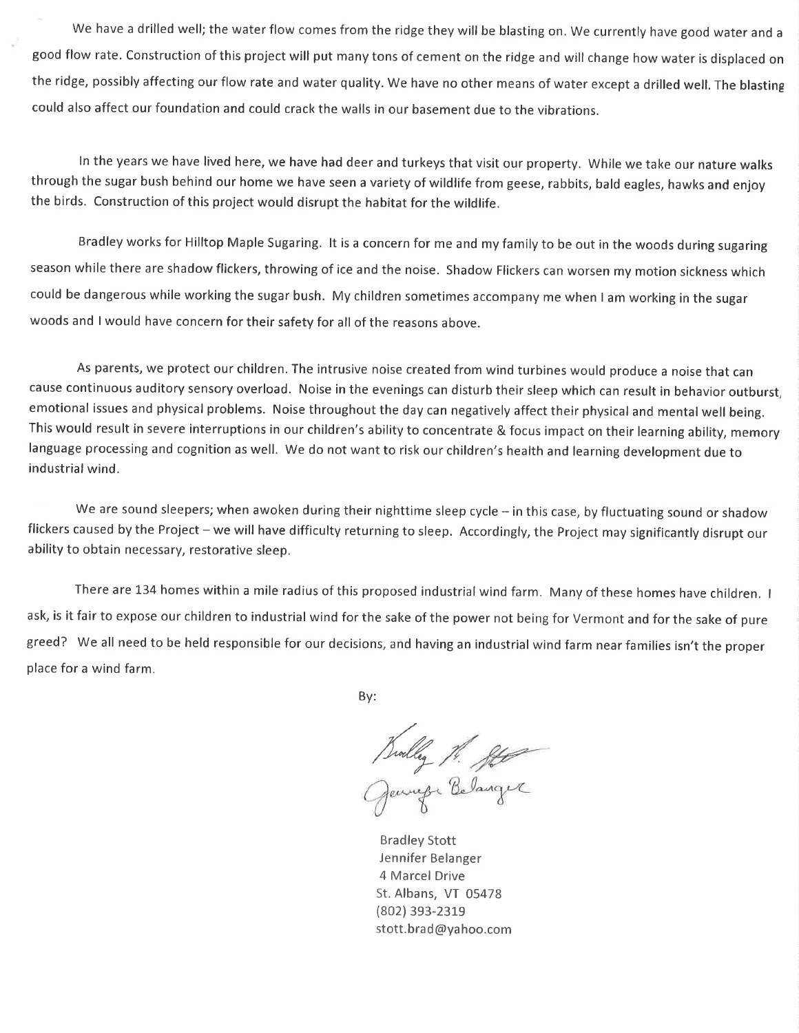We have a drilled well; the water flow comes from the ridge they will be blasting on. We currently have good water and <sup>a</sup> good flow rate. Construction of this project will put many tons of cement on the ridge and will change how water is displaced on the ridge, possibly affecting our flow rate and water quality. We have no other means of water except a drilled well, The blasting could also affect our foundation and could crack the walls in our basement due to the vibrations.

ln the years we have lived here, we have had deer and turkeys that visit our property. While we take our nature walks through the sugar bush behind our home we have seen a variety of wildlife from geese, rabbits, bald eagles, hawks and enjoy the birds. Construction of this project would disrupt the habitat for the wildlife.

Bradley works for Hilltop Maple Sugaring. lt is a concern for me and my family to be out in the woods during sugaring season while there are shadow flickers, throwing of ice and the noise, Shadow Flickers can worsen my motion sickness which could be dangerous while working the sugar bush. My children sometimes accompany me when I am working in the sugar woods and I would have concern for their safety for all of the reasons above.

As parents, we protect our children. The intrusive noise created from wind turbines would produce a noise that can cause continuous auditory sensory overload. Noise in the evenings can disturb their sleep which can result in behavior outburst, emotional issues and physical problems. Noise throughout the day can negatively affect their physical and mental well being. This would result in severe interruptions in our children's ability to concentrate & focus impact on their learning ability, memory language processing and cognition as well, We do not want to risk our children's health and learning development due to industrial wind.

We are sound sleepers; when awoken during their nighttime sleep cycle  $-$  in this case, by fluctuating sound or shadow flickers caused by the Project - we will have difficulty returning to sleep. Accordingly, the Project may significantly disrupt our ability to obtain necessary, restorative sleep.

There are 134 homes within a mile radius of this proposed industrial wind farm. Many of these homes have children. I ask, is it fair to expose our children to industrial wind for the sake of the power not being for Vermont and for the sake of pure greed? We all need to be held responsible for our decisions, and having an industrial wind farm near families isn't the proper place for a wind farm.

By:

July 1. ft

Bradley Stott iennifer Belanger 4 Marcel Drive St. Albans, VT 05478 (802) 3s3-231e stott. brad @yahoo.com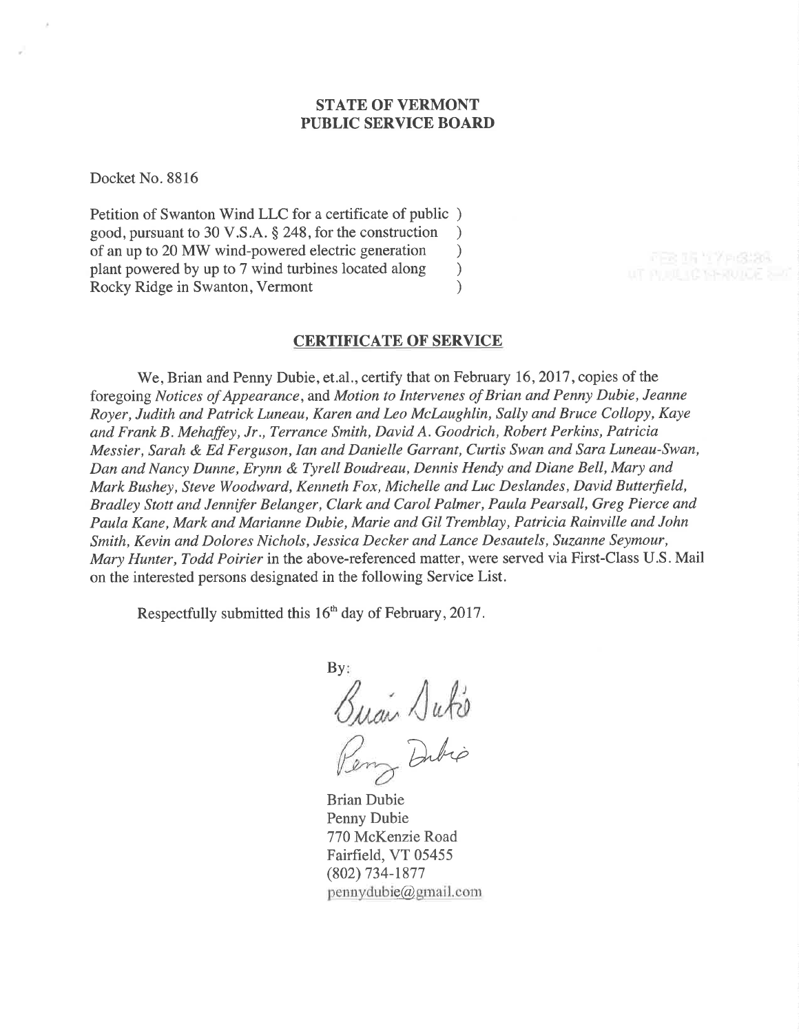## STATE OF VERMONT PUBLIC SERVICE BOARD

Docket No. 8816

Petition of Swanton Wind LLC for a certificate of public ) good, pursuant to 30 V.S.A. \$ 248, for the construction ) of an up to 20 MW wind-powered electric generation ) plant powered by up to 7 wind turbines located along (a) Rocky Ridge in Swanton, Vermont (b) Rocky Ridge in Swanton, Vermont )

## CERTIFICATE OF SERVICE

We, Brian and Penny Dubie, et.al., certify that on February 16, 2017, copies of the foregoing Notices of Appearance, and Motion to Intervenes of Brian and Penny Dubie, Jeanne Royer, Judith and Patrick Luneau, Karen and Leo McLaughlin, Sally and Bruce Collopy, Kaye and Frank B. Mehaffey, Jr., Terrance Smith, David A. Goodrich, Robert Perkins, Patricia Messier, Sarah & Ed Ferguson, Ian and Danielle Garrant, Curtis Swan and Sara Luneau-Swan, Dan and Nancy Dunne, Erynn & Tyrell Boudreau, Dennis Hendy and Diane Bell, Mary and Mark Bushey, Steve Woodward, Kenneth Fox, Michelle and Luc Deslandes, David Butterfield, Bradley Stott and Jennifer Belanger, Clark and Carol Palmer, Paula Pearsall, Greg Pierce and Paula Kane, Mark and Marianne Dubie, Marie and Gil Tremblay, Patricia Rainville and John Smith, Kevin and Dolores Nichols, Jessica Decker and Lance Desautels, Suzanne Seymour, Mary Hunter, Todd Poirier in the above-referenced matter, were served via First-Class U.S. Mail on the interested persons designated in the following Service List.

Respectfully submitted this l6'h day of February,2017.

By: Buai Duko Dibio

Brian Dubie Penny Dubie 770 McKenzie Road Fairfield, VT 05455 (802) 734-1877  $p$ ennydubie $@g$ mail.com